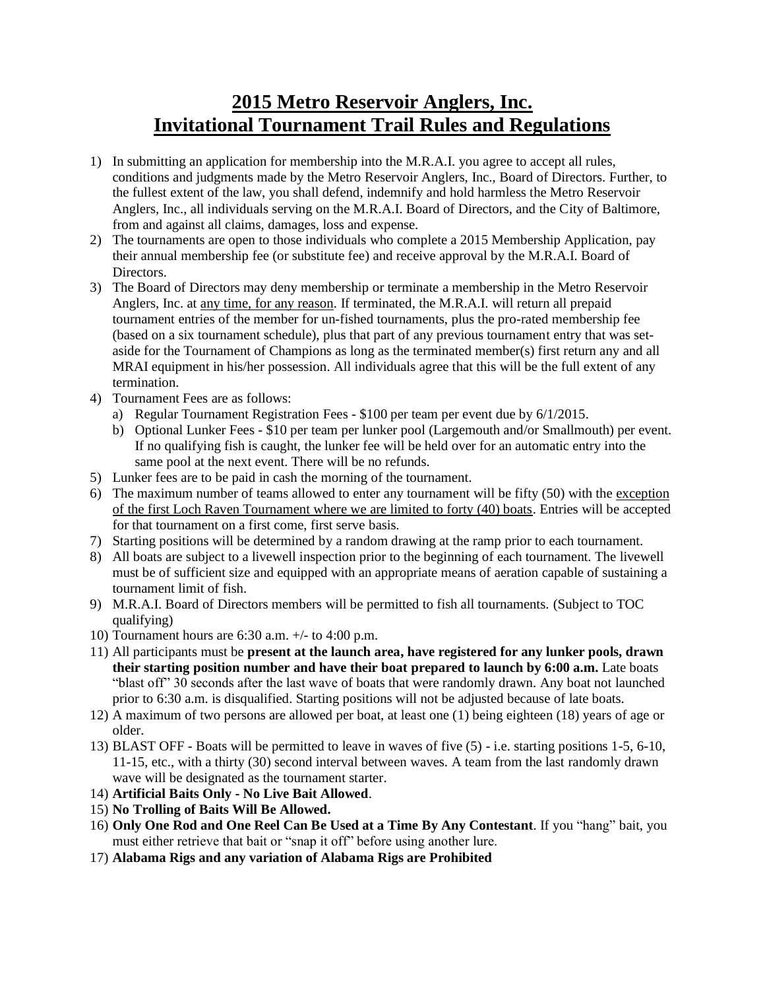## **2015 Metro Reservoir Anglers, Inc. Invitational Tournament Trail Rules and Regulations**

- 1) In submitting an application for membership into the M.R.A.I. you agree to accept all rules, conditions and judgments made by the Metro Reservoir Anglers, Inc., Board of Directors. Further, to the fullest extent of the law, you shall defend, indemnify and hold harmless the Metro Reservoir Anglers, Inc., all individuals serving on the M.R.A.I. Board of Directors, and the City of Baltimore, from and against all claims, damages, loss and expense.
- 2) The tournaments are open to those individuals who complete a 2015 Membership Application, pay their annual membership fee (or substitute fee) and receive approval by the M.R.A.I. Board of Directors.
- 3) The Board of Directors may deny membership or terminate a membership in the Metro Reservoir Anglers, Inc. at any time, for any reason. If terminated, the M.R.A.I. will return all prepaid tournament entries of the member for un-fished tournaments, plus the pro-rated membership fee (based on a six tournament schedule), plus that part of any previous tournament entry that was setaside for the Tournament of Champions as long as the terminated member(s) first return any and all MRAI equipment in his/her possession. All individuals agree that this will be the full extent of any termination.
- 4) Tournament Fees are as follows:
	- a) Regular Tournament Registration Fees \$100 per team per event due by 6/1/2015.
	- b) Optional Lunker Fees \$10 per team per lunker pool (Largemouth and/or Smallmouth) per event. If no qualifying fish is caught, the lunker fee will be held over for an automatic entry into the same pool at the next event. There will be no refunds.
- 5) Lunker fees are to be paid in cash the morning of the tournament.
- 6) The maximum number of teams allowed to enter any tournament will be fifty (50) with the exception of the first Loch Raven Tournament where we are limited to forty (40) boats. Entries will be accepted for that tournament on a first come, first serve basis.
- 7) Starting positions will be determined by a random drawing at the ramp prior to each tournament.
- 8) All boats are subject to a livewell inspection prior to the beginning of each tournament. The livewell must be of sufficient size and equipped with an appropriate means of aeration capable of sustaining a tournament limit of fish.
- 9) M.R.A.I. Board of Directors members will be permitted to fish all tournaments. (Subject to TOC qualifying)
- 10) Tournament hours are 6:30 a.m. +/- to 4:00 p.m.
- 11) All participants must be **present at the launch area, have registered for any lunker pools, drawn their starting position number and have their boat prepared to launch by 6:00 a.m.** Late boats "blast off" 30 seconds after the last wave of boats that were randomly drawn. Any boat not launched prior to 6:30 a.m. is disqualified. Starting positions will not be adjusted because of late boats.
- 12) A maximum of two persons are allowed per boat, at least one (1) being eighteen (18) years of age or older.
- 13) BLAST OFF Boats will be permitted to leave in waves of five (5) i.e. starting positions 1-5, 6-10, 11-15, etc., with a thirty (30) second interval between waves. A team from the last randomly drawn wave will be designated as the tournament starter.
- 14) **Artificial Baits Only - No Live Bait Allowed**.
- 15) **No Trolling of Baits Will Be Allowed.**
- 16) **Only One Rod and One Reel Can Be Used at a Time By Any Contestant**. If you "hang" bait, you must either retrieve that bait or "snap it off" before using another lure.
- 17) **Alabama Rigs and any variation of Alabama Rigs are Prohibited**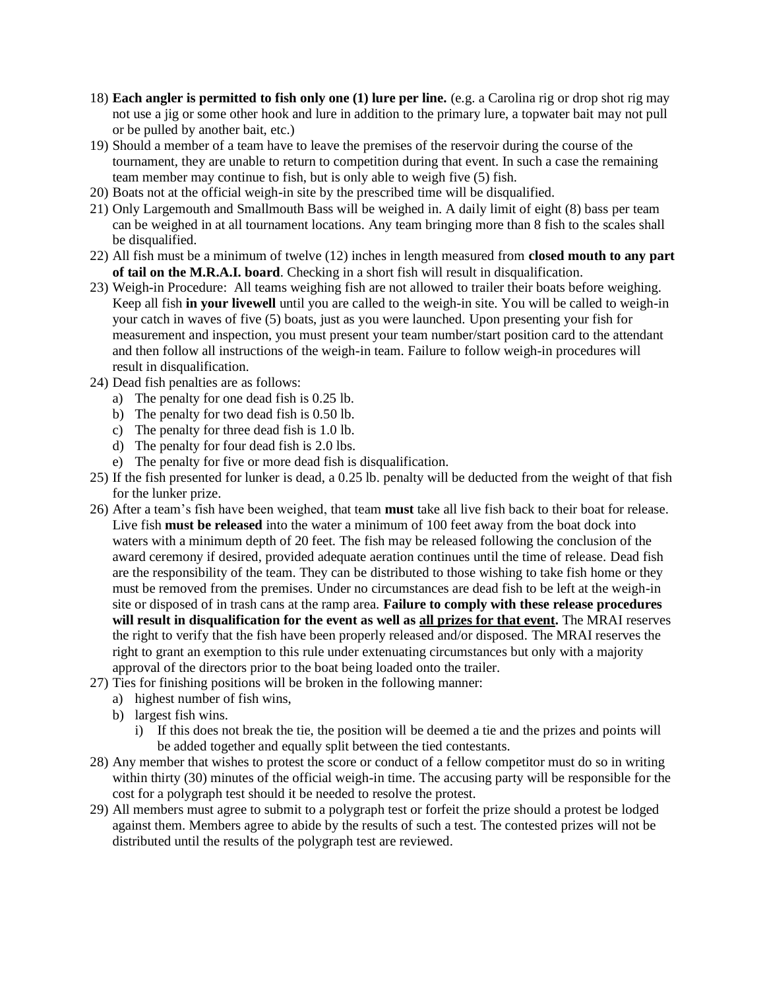- 18) **Each angler is permitted to fish only one (1) lure per line.** (e.g. a Carolina rig or drop shot rig may not use a jig or some other hook and lure in addition to the primary lure, a topwater bait may not pull or be pulled by another bait, etc.)
- 19) Should a member of a team have to leave the premises of the reservoir during the course of the tournament, they are unable to return to competition during that event. In such a case the remaining team member may continue to fish, but is only able to weigh five (5) fish.
- 20) Boats not at the official weigh-in site by the prescribed time will be disqualified.
- 21) Only Largemouth and Smallmouth Bass will be weighed in. A daily limit of eight (8) bass per team can be weighed in at all tournament locations. Any team bringing more than 8 fish to the scales shall be disqualified.
- 22) All fish must be a minimum of twelve (12) inches in length measured from **closed mouth to any part of tail on the M.R.A.I. board**. Checking in a short fish will result in disqualification.
- 23) Weigh-in Procedure: All teams weighing fish are not allowed to trailer their boats before weighing. Keep all fish **in your livewell** until you are called to the weigh-in site. You will be called to weigh-in your catch in waves of five (5) boats, just as you were launched. Upon presenting your fish for measurement and inspection, you must present your team number/start position card to the attendant and then follow all instructions of the weigh-in team. Failure to follow weigh-in procedures will result in disqualification.
- 24) Dead fish penalties are as follows:
	- a) The penalty for one dead fish is 0.25 lb.
	- b) The penalty for two dead fish is 0.50 lb.
	- c) The penalty for three dead fish is 1.0 lb.
	- d) The penalty for four dead fish is 2.0 lbs.
	- e) The penalty for five or more dead fish is disqualification.
- 25) If the fish presented for lunker is dead, a 0.25 lb. penalty will be deducted from the weight of that fish for the lunker prize.
- 26) After a team's fish have been weighed, that team **must** take all live fish back to their boat for release. Live fish **must be released** into the water a minimum of 100 feet away from the boat dock into waters with a minimum depth of 20 feet. The fish may be released following the conclusion of the award ceremony if desired, provided adequate aeration continues until the time of release. Dead fish are the responsibility of the team. They can be distributed to those wishing to take fish home or they must be removed from the premises. Under no circumstances are dead fish to be left at the weigh-in site or disposed of in trash cans at the ramp area. **Failure to comply with these release procedures will result in disqualification for the event as well as all prizes for that event.** The MRAI reserves the right to verify that the fish have been properly released and/or disposed. The MRAI reserves the right to grant an exemption to this rule under extenuating circumstances but only with a majority approval of the directors prior to the boat being loaded onto the trailer.
- 27) Ties for finishing positions will be broken in the following manner:
	- a) highest number of fish wins,
	- b) largest fish wins.
		- i) If this does not break the tie, the position will be deemed a tie and the prizes and points will be added together and equally split between the tied contestants.
- 28) Any member that wishes to protest the score or conduct of a fellow competitor must do so in writing within thirty (30) minutes of the official weigh-in time. The accusing party will be responsible for the cost for a polygraph test should it be needed to resolve the protest.
- 29) All members must agree to submit to a polygraph test or forfeit the prize should a protest be lodged against them. Members agree to abide by the results of such a test. The contested prizes will not be distributed until the results of the polygraph test are reviewed.